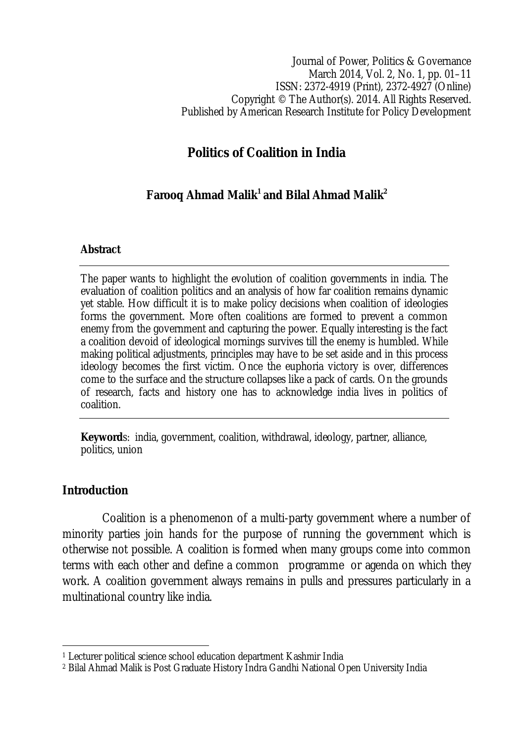Journal of Power, Politics & Governance March 2014, Vol. 2, No. 1, pp. 01–11 ISSN: 2372-4919 (Print), 2372-4927 (Online) Copyright © The Author(s). 2014. All Rights Reserved. Published by American Research Institute for Policy Development

# **Politics of Coalition in India**

# **Farooq Ahmad Malik<sup>1</sup> and Bilal Ahmad Malik<sup>2</sup>**

#### **Abstract**

The paper wants to highlight the evolution of coalition governments in india. The evaluation of coalition politics and an analysis of how far coalition remains dynamic yet stable. How difficult it is to make policy decisions when coalition of ideologies forms the government. More often coalitions are formed to prevent a common enemy from the government and capturing the power. Equally interesting is the fact a coalition devoid of ideological mornings survives till the enemy is humbled. While making political adjustments, principles may have to be set aside and in this process ideology becomes the first victim. Once the euphoria victory is over, differences come to the surface and the structure collapses like a pack of cards. On the grounds of research, facts and history one has to acknowledge india lives in politics of coalition.

**Keyword**s: india, government, coalition, withdrawal, ideology, partner, alliance, politics, union

### **Introduction**

Coalition is a phenomenon of a multi-party government where a number of minority parties join hands for the purpose of running the government which is otherwise not possible. A coalition is formed when many groups come into common terms with each other and define a common programme or agenda on which they work. A coalition government always remains in pulls and pressures particularly in a multinational country like india.

 $\overline{\phantom{a}}$ <sup>1</sup> Lecturer political science school education department Kashmir India

<sup>2</sup> Bilal Ahmad Malik is Post Graduate History Indra Gandhi National Open University India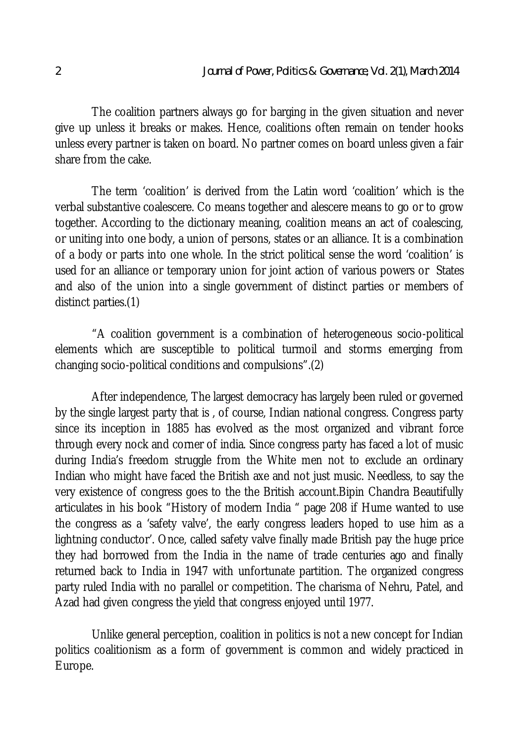The coalition partners always go for barging in the given situation and never give up unless it breaks or makes. Hence, coalitions often remain on tender hooks unless every partner is taken on board. No partner comes on board unless given a fair share from the cake.

The term 'coalition' is derived from the Latin word 'coalition' which is the verbal substantive coalescere. Co means together and alescere means to go or to grow together. According to the dictionary meaning, coalition means an act of coalescing, or uniting into one body, a union of persons, states or an alliance. It is a combination of a body or parts into one whole. In the strict political sense the word 'coalition' is used for an alliance or temporary union for joint action of various powers or States and also of the union into a single government of distinct parties or members of distinct parties.(1)

"A coalition government is a combination of heterogeneous socio-political elements which are susceptible to political turmoil and storms emerging from changing socio-political conditions and compulsions".(2)

After independence, The largest democracy has largely been ruled or governed by the single largest party that is , of course, Indian national congress. Congress party since its inception in 1885 has evolved as the most organized and vibrant force through every nock and corner of india. Since congress party has faced a lot of music during India's freedom struggle from the White men not to exclude an ordinary Indian who might have faced the British axe and not just music. Needless, to say the very existence of congress goes to the the British account.Bipin Chandra Beautifully articulates in his book "History of modern India " page 208 if Hume wanted to use the congress as a 'safety valve', the early congress leaders hoped to use him as a lightning conductor'. Once, called safety valve finally made British pay the huge price they had borrowed from the India in the name of trade centuries ago and finally returned back to India in 1947 with unfortunate partition. The organized congress party ruled India with no parallel or competition. The charisma of Nehru, Patel, and Azad had given congress the yield that congress enjoyed until 1977.

Unlike general perception, coalition in politics is not a new concept for Indian politics coalitionism as a form of government is common and widely practiced in Europe.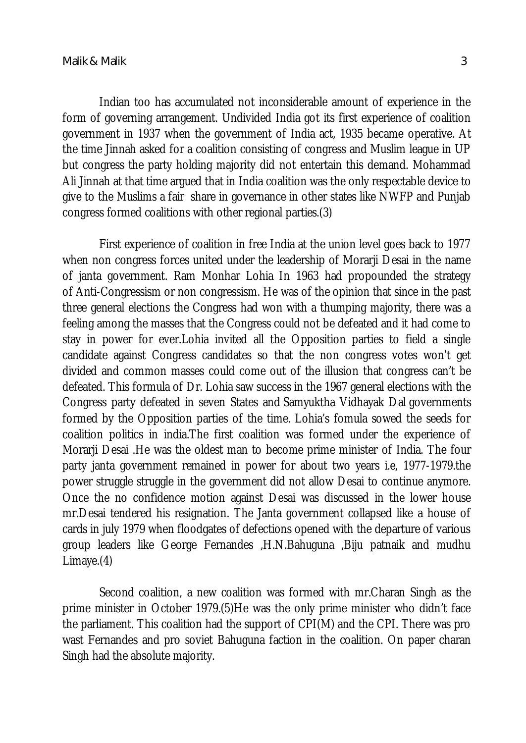Indian too has accumulated not inconsiderable amount of experience in the form of governing arrangement. Undivided India got its first experience of coalition government in 1937 when the government of India act, 1935 became operative. At the time Jinnah asked for a coalition consisting of congress and Muslim league in UP but congress the party holding majority did not entertain this demand. Mohammad Ali Jinnah at that time argued that in India coalition was the only respectable device to give to the Muslims a fair share in governance in other states like NWFP and Punjab congress formed coalitions with other regional parties.(3)

First experience of coalition in free India at the union level goes back to 1977 when non congress forces united under the leadership of Morarji Desai in the name of janta government. Ram Monhar Lohia In 1963 had propounded the strategy of Anti-Congressism or non congressism. He was of the opinion that since in the past three general elections the Congress had won with a thumping majority, there was a feeling among the masses that the Congress could not be defeated and it had come to stay in power for ever.Lohia invited all the Opposition parties to field a single candidate against Congress candidates so that the non congress votes won't get divided and common masses could come out of the illusion that congress can't be defeated. This formula of Dr. Lohia saw success in the 1967 general elections with the Congress party defeated in seven States and Samyuktha Vidhayak Dal governments formed by the Opposition parties of the time. Lohia's fomula sowed the seeds for coalition politics in india.The first coalition was formed under the experience of Morarji Desai .He was the oldest man to become prime minister of India. The four party janta government remained in power for about two years i.e, 1977-1979.the power struggle struggle in the government did not allow Desai to continue anymore. Once the no confidence motion against Desai was discussed in the lower house mr.Desai tendered his resignation. The Janta government collapsed like a house of cards in july 1979 when floodgates of defections opened with the departure of various group leaders like George Fernandes ,H.N.Bahuguna ,Biju patnaik and mudhu Limaye.(4)

Second coalition, a new coalition was formed with mr.Charan Singh as the prime minister in October 1979.(5)He was the only prime minister who didn't face the parliament. This coalition had the support of CPI(M) and the CPI. There was pro wast Fernandes and pro soviet Bahuguna faction in the coalition. On paper charan Singh had the absolute majority.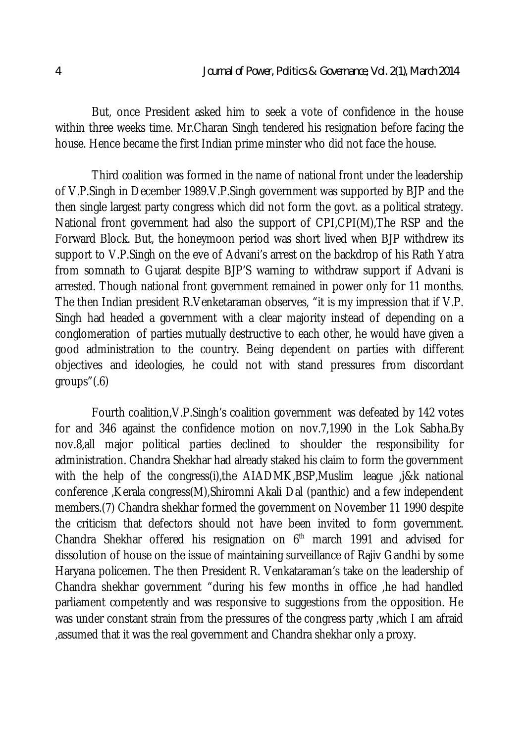But, once President asked him to seek a vote of confidence in the house within three weeks time. Mr.Charan Singh tendered his resignation before facing the house. Hence became the first Indian prime minster who did not face the house.

Third coalition was formed in the name of national front under the leadership of V.P.Singh in December 1989.V.P.Singh government was supported by BJP and the then single largest party congress which did not form the govt. as a political strategy. National front government had also the support of CPI,CPI(M),The RSP and the Forward Block. But, the honeymoon period was short lived when BJP withdrew its support to V.P.Singh on the eve of Advani's arrest on the backdrop of his Rath Yatra from somnath to Gujarat despite BJP'S warning to withdraw support if Advani is arrested. Though national front government remained in power only for 11 months. The then Indian president R.Venketaraman observes, "it is my impression that if V.P. Singh had headed a government with a clear majority instead of depending on a conglomeration of parties mutually destructive to each other, he would have given a good administration to the country. Being dependent on parties with different objectives and ideologies, he could not with stand pressures from discordant groups"(.6)

Fourth coalition,V.P.Singh's coalition government was defeated by 142 votes for and 346 against the confidence motion on nov.7,1990 in the Lok Sabha.By nov.8,all major political parties declined to shoulder the responsibility for administration. Chandra Shekhar had already staked his claim to form the government with the help of the congress(i), the AIADMK, BSP, Muslim league , j&k national conference ,Kerala congress(M),Shiromni Akali Dal (panthic) and a few independent members.(7) Chandra shekhar formed the government on November 11 1990 despite the criticism that defectors should not have been invited to form government. Chandra Shekhar offered his resignation on  $6<sup>th</sup>$  march 1991 and advised for dissolution of house on the issue of maintaining surveillance of Rajiv Gandhi by some Haryana policemen. The then President R. Venkataraman's take on the leadership of Chandra shekhar government "during his few months in office ,he had handled parliament competently and was responsive to suggestions from the opposition. He was under constant strain from the pressures of the congress party ,which I am afraid ,assumed that it was the real government and Chandra shekhar only a proxy.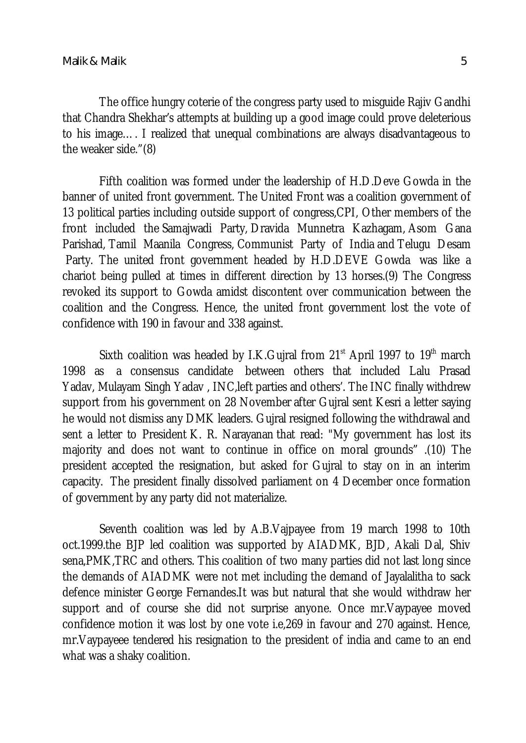The office hungry coterie of the congress party used to misguide Rajiv Gandhi that Chandra Shekhar's attempts at building up a good image could prove deleterious to his image…. I realized that unequal combinations are always disadvantageous to the weaker side."(8)

Fifth coalition was formed under the leadership of H.D.Deve Gowda in the banner of united front government. The United Front was a coalition government of 13 political parties including outside support of congress,CPI, Other members of the front included the Samajwadi Party, Dravida Munnetra Kazhagam, Asom Gana Parishad, Tamil Maanila Congress, Communist Party of India and Telugu Desam Party. The united front government headed by H.D.DEVE Gowda was like a chariot being pulled at times in different direction by 13 horses.(9) The Congress revoked its support to Gowda amidst discontent over communication between the coalition and the Congress. Hence, the united front government lost the vote of confidence with 190 in favour and 338 against.

Sixth coalition was headed by I.K. Gujral from  $21<sup>st</sup>$  April 1997 to 19<sup>th</sup> march 1998 as a consensus candidate between others that included Lalu Prasad Yadav, Mulayam Singh Yadav , INC,left parties and others'. The INC finally withdrew support from his government on 28 November after Gujral sent Kesri a letter saying he would not dismiss any DMK leaders. Gujral resigned following the withdrawal and sent a letter to President K. R. Narayanan that read: "My government has lost its majority and does not want to continue in office on moral grounds" .(10) The president accepted the resignation, but asked for Gujral to stay on in an interim capacity. The president finally dissolved parliament on 4 December once formation of government by any party did not materialize.

Seventh coalition was led by A.B.Vajpayee from 19 march 1998 to 10th oct.1999.the BJP led coalition was supported by AIADMK, BJD, Akali Dal, Shiv sena,PMK,TRC and others. This coalition of two many parties did not last long since the demands of AIADMK were not met including the demand of Jayalalitha to sack defence minister George Fernandes.It was but natural that she would withdraw her support and of course she did not surprise anyone. Once mr.Vaypayee moved confidence motion it was lost by one vote i.e,269 in favour and 270 against. Hence, mr.Vaypayeee tendered his resignation to the president of india and came to an end what was a shaky coalition.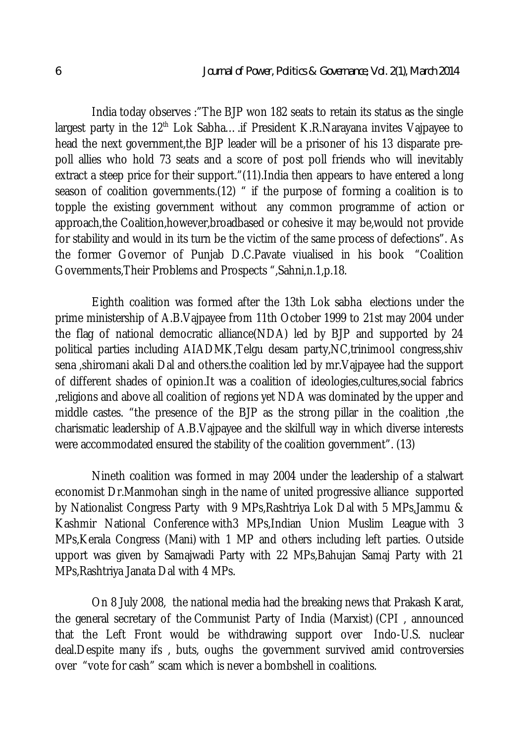India today observes :"The BJP won 182 seats to retain its status as the single largest party in the  $12<sup>th</sup>$  Lok Sabha.... if President K.R.Narayana invites Vajpayee to head the next government,the BJP leader will be a prisoner of his 13 disparate prepoll allies who hold 73 seats and a score of post poll friends who will inevitably extract a steep price for their support."(11).India then appears to have entered a long season of coalition governments.(12) " if the purpose of forming a coalition is to topple the existing government without any common programme of action or approach,the Coalition,however,broadbased or cohesive it may be,would not provide for stability and would in its turn be the victim of the same process of defections". As the former Governor of Punjab D.C.Pavate viualised in his book "Coalition Governments,Their Problems and Prospects ",Sahni,n.1,p.18.

Eighth coalition was formed after the 13th Lok sabha elections under the prime ministership of A.B.Vajpayee from 11th October 1999 to 21st may 2004 under the flag of national democratic alliance(NDA) led by BJP and supported by 24 political parties including AIADMK,Telgu desam party,NC,trinimool congress,shiv sena ,shiromani akali Dal and others.the coalition led by mr.Vajpayee had the support of different shades of opinion.It was a coalition of ideologies,cultures,social fabrics ,religions and above all coalition of regions yet NDA was dominated by the upper and middle castes. "the presence of the BJP as the strong pillar in the coalition ,the charismatic leadership of A.B.Vajpayee and the skilfull way in which diverse interests were accommodated ensured the stability of the coalition government". (13)

Nineth coalition was formed in may 2004 under the leadership of a stalwart economist Dr.Manmohan singh in the name of united progressive alliance supported by Nationalist Congress Party with 9 MPs,Rashtriya Lok Dal with 5 MPs,Jammu & Kashmir National Conference with3 MPs,Indian Union Muslim League with 3 MPs,Kerala Congress (Mani) with 1 MP and others including left parties. Outside upport was given by Samajwadi Party with 22 MPs, Bahujan Samaj Party with 21 MPs,Rashtriya Janata Dal with 4 MPs.

On 8 July 2008, the national media had the breaking news that Prakash Karat, the general secretary of the Communist Party of India (Marxist) (CPI , announced that the Left Front would be withdrawing support over Indo-U.S. nuclear deal.Despite many ifs , buts, oughs the government survived amid controversies over "vote for cash" scam which is never a bombshell in coalitions.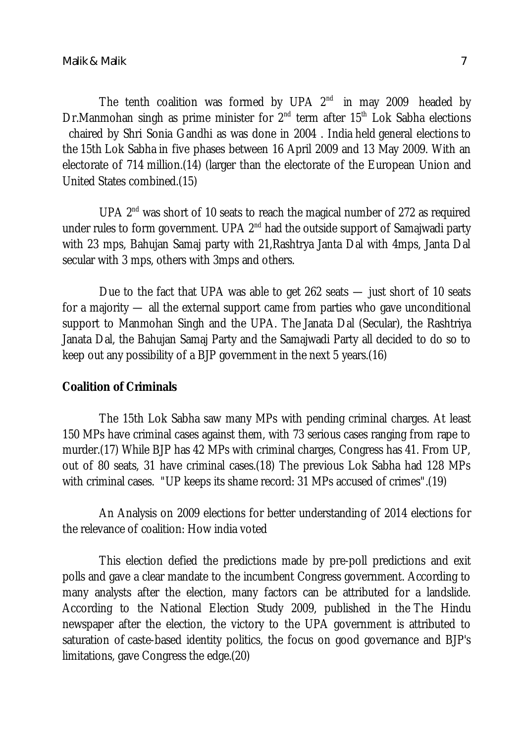The tenth coalition was formed by UPA  $2^{nd}$  in may 2009 headed by Dr.Manmohan singh as prime minister for 2<sup>nd</sup> term after 15<sup>th</sup> Lok Sabha elections chaired by Shri Sonia Gandhi as was done in 2004 . India held general elections to the 15th Lok Sabha in five phases between 16 April 2009 and 13 May 2009. With an electorate of 714 million.(14) (larger than the electorate of the European Union and United States combined.(15)

UPA  $2<sup>nd</sup>$  was short of 10 seats to reach the magical number of 272 as required under rules to form government. UPA 2<sup>nd</sup> had the outside support of Samajwadi party with 23 mps, Bahujan Samaj party with 21,Rashtrya Janta Dal with 4mps, Janta Dal secular with 3 mps, others with 3mps and others.

Due to the fact that UPA was able to get 262 seats — just short of 10 seats for a majority — all the external support came from parties who gave unconditional support to Manmohan Singh and the UPA. The Janata Dal (Secular), the Rashtriya Janata Dal, the Bahujan Samaj Party and the Samajwadi Party all decided to do so to keep out any possibility of a BJP government in the next 5 years.(16)

### **Coalition of Criminals**

The 15th Lok Sabha saw many MPs with pending criminal charges. At least 150 MPs have criminal cases against them, with 73 serious cases ranging from rape to murder.(17) While BJP has 42 MPs with criminal charges, Congress has 41. From UP, out of 80 seats, 31 have criminal cases.(18) The previous Lok Sabha had 128 MPs with criminal cases. "UP keeps its shame record: 31 MPs accused of crimes".(19)

An Analysis on 2009 elections for better understanding of 2014 elections for the relevance of coalition: How india voted

This election defied the predictions made by pre-poll predictions and exit polls and gave a clear mandate to the incumbent Congress government. According to many analysts after the election, many factors can be attributed for a landslide. According to the National Election Study 2009, published in the The Hindu newspaper after the election, the victory to the UPA government is attributed to saturation of caste-based identity politics, the focus on good governance and BJP's limitations, gave Congress the edge.(20)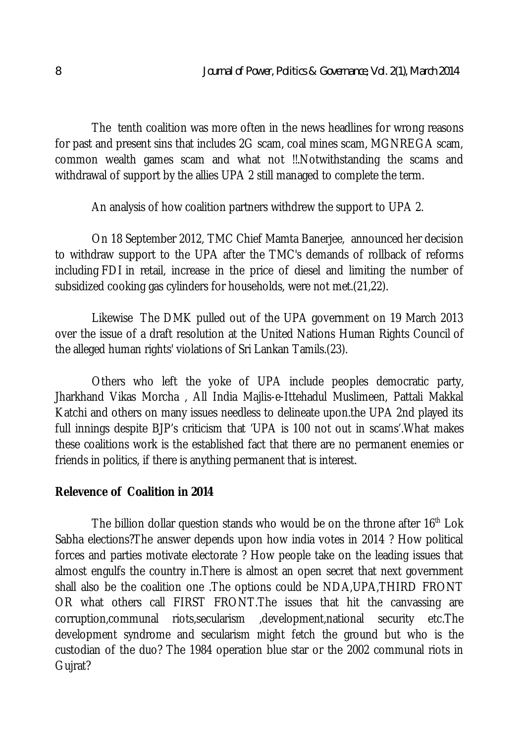The tenth coalition was more often in the news headlines for wrong reasons for past and present sins that includes 2G scam, coal mines scam, MGNREGA scam, common wealth games scam and what not !!.Notwithstanding the scams and withdrawal of support by the allies UPA 2 still managed to complete the term.

An analysis of how coalition partners withdrew the support to UPA 2.

On 18 September 2012, TMC Chief Mamta Banerjee, announced her decision to withdraw support to the UPA after the TMC's demands of rollback of reforms including FDI in retail, increase in the price of diesel and limiting the number of subsidized cooking gas cylinders for households, were not met.(21,22).

Likewise The DMK pulled out of the UPA government on 19 March 2013 over the issue of a draft resolution at the United Nations Human Rights Council of the alleged human rights' violations of Sri Lankan Tamils.(23).

Others who left the yoke of UPA include peoples democratic party, Jharkhand Vikas Morcha , All India Majlis-e-Ittehadul Muslimeen, Pattali Makkal Katchi and others on many issues needless to delineate upon.the UPA 2nd played its full innings despite BJP's criticism that 'UPA is 100 not out in scams'.What makes these coalitions work is the established fact that there are no permanent enemies or friends in politics, if there is anything permanent that is interest.

### **Relevence of Coalition in 2014**

The billion dollar question stands who would be on the throne after  $16<sup>th</sup>$  Lok Sabha elections?The answer depends upon how india votes in 2014 ? How political forces and parties motivate electorate ? How people take on the leading issues that almost engulfs the country in.There is almost an open secret that next government shall also be the coalition one .The options could be NDA,UPA,THIRD FRONT OR what others call FIRST FRONT.The issues that hit the canvassing are corruption,communal riots,secularism ,development,national security etc.The development syndrome and secularism might fetch the ground but who is the custodian of the duo? The 1984 operation blue star or the 2002 communal riots in Gujrat?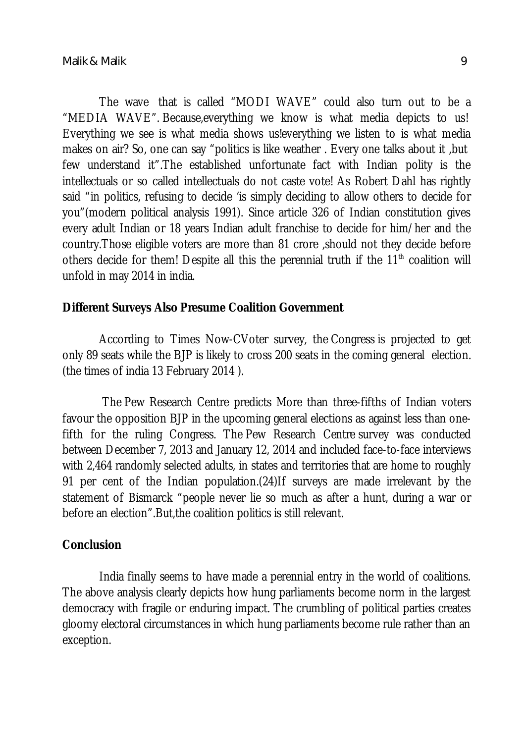The wave that is called "MODI WAVE" could also turn out to be a "MEDIA WAVE". Because,everything we know is what media depicts to us! Everything we see is what media shows us!everything we listen to is what media makes on air? So, one can say "politics is like weather . Every one talks about it ,but few understand it".The established unfortunate fact with Indian polity is the intellectuals or so called intellectuals do not caste vote! As Robert Dahl has rightly said "in politics, refusing to decide 'is simply deciding to allow others to decide for you"(modern political analysis 1991). Since article 326 of Indian constitution gives every adult Indian or 18 years Indian adult franchise to decide for him/her and the country.Those eligible voters are more than 81 crore ,should not they decide before others decide for them! Despite all this the perennial truth if the  $11<sup>th</sup>$  coalition will unfold in may 2014 in india.

#### **Different Surveys Also Presume Coalition Government**

According to Times Now-CVoter survey, the Congress is projected to get only 89 seats while the BJP is likely to cross 200 seats in the coming general election. (the times of india 13 February 2014 ).

The Pew Research Centre predicts More than three-fifths of Indian voters favour the opposition BJP in the upcoming general elections as against less than onefifth for the ruling Congress. The Pew Research Centre survey was conducted between December 7, 2013 and January 12, 2014 and included face-to-face interviews with 2,464 randomly selected adults, in states and territories that are home to roughly 91 per cent of the Indian population.(24)If surveys are made irrelevant by the statement of Bismarck "people never lie so much as after a hunt, during a war or before an election".But,the coalition politics is still relevant.

#### **Conclusion**

India finally seems to have made a perennial entry in the world of coalitions. The above analysis clearly depicts how hung parliaments become norm in the largest democracy with fragile or enduring impact. The crumbling of political parties creates gloomy electoral circumstances in which hung parliaments become rule rather than an exception.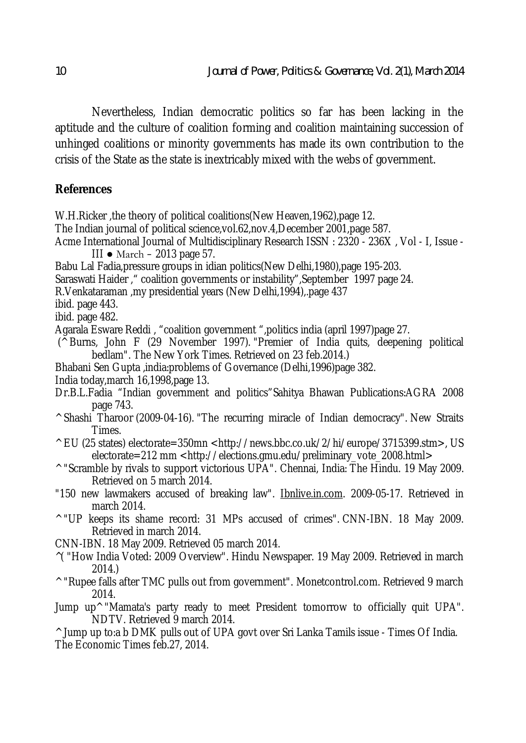Nevertheless, Indian democratic politics so far has been lacking in the aptitude and the culture of coalition forming and coalition maintaining succession of unhinged coalitions or minority governments has made its own contribution to the crisis of the State as the state is inextricably mixed with the webs of government.

## **References**

W.H.Ricker ,the theory of political coalitions(New Heaven,1962),page 12. The Indian journal of political science,vol.62,nov.4,December 2001,page 587. Acme International Journal of Multidisciplinary Research ISSN : 2320 - 236X , Vol - I, Issue - III ● March – 2013 page 57. Babu Lal Fadia,pressure groups in idian politics(New Delhi,1980),page 195-203. Saraswati Haider ," coalition governments or instability",September 1997 page 24. R.Venkataraman ,my presidential years (New Delhi,1994),.page 437 ibid. page 443. ibid. page 482. Agarala Esware Reddi , "coalition government ",politics india (april 1997)page 27. (^ Burns, John F (29 November 1997). "Premier of India quits, deepening political bedlam". The New York Times. Retrieved on 23 feb.2014.) Bhabani Sen Gupta ,india:problems of Governance (Delhi,1996)page 382. India today,march 16,1998,page 13. Dr.B.L.Fadia "Indian government and politics"Sahitya Bhawan Publications:AGRA 2008 page 743. ^ Shashi Tharoor (2009-04-16). "The recurring miracle of Indian democracy". New Straits Times. ^ EU (25 states) electorate=350mn <http://news.bbc.co.uk/2/hi/europe/3715399.stm>, US electorate=212 mm <http://elections.gmu.edu/preliminary\_vote\_2008.html> ^ "Scramble by rivals to support victorious UPA". Chennai, India: The Hindu. 19 May 2009. Retrieved on 5 march 2014. "150 new lawmakers accused of breaking law". Ibnlive.in.com. 2009-05-17. Retrieved in march 2014. ^ "UP keeps its shame record: 31 MPs accused of crimes". CNN-IBN. 18 May 2009. Retrieved in march 2014. CNN-IBN. 18 May 2009. Retrieved 05 march 2014. ^( "How India Voted: 2009 Overview". Hindu Newspaper. 19 May 2009. Retrieved in march 2014.) ^ "Rupee falls after TMC pulls out from government". Monetcontrol.com. Retrieved 9 march 2014. Jump up^ "Mamata's party ready to meet President tomorrow to officially quit UPA". NDTV. Retrieved 9 march 2014. ^ Jump up to:a b DMK pulls out of UPA govt over Sri Lanka Tamils issue - Times Of India. The Economic Times feb.27, 2014.